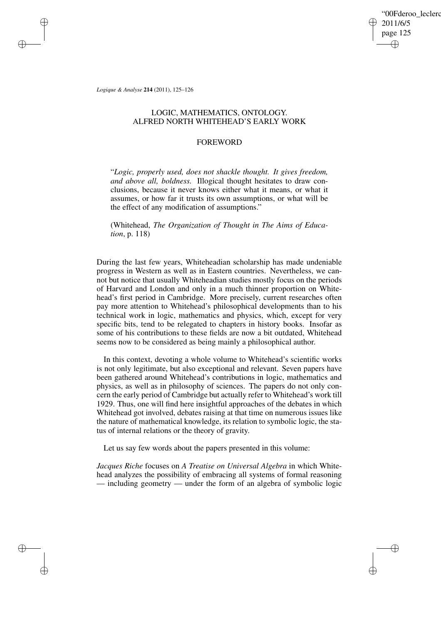'00Fderoo\_leclerc 2011/6/5 page 125 ✐ ✐

✐

✐

*Logique & Analyse* **214** (2011), 125–126

✐

✐

✐

✐

## LOGIC, MATHEMATICS, ONTOLOGY. ALFRED NORTH WHITEHEAD'S EARLY WORK

## FOREWORD

"*Logic, properly used, does not shackle thought. It gives freedom, and above all, boldness.* Illogical thought hesitates to draw conclusions, because it never knows either what it means, or what it assumes, or how far it trusts its own assumptions, or what will be the effect of any modification of assumptions."

(Whitehead, *The Organization of Thought in The Aims of Education*, p. 118)

During the last few years, Whiteheadian scholarship has made undeniable progress in Western as well as in Eastern countries. Nevertheless, we cannot but notice that usually Whiteheadian studies mostly focus on the periods of Harvard and London and only in a much thinner proportion on Whitehead's first period in Cambridge. More precisely, current researches often pay more attention to Whitehead's philosophical developments than to his technical work in logic, mathematics and physics, which, except for very specific bits, tend to be relegated to chapters in history books. Insofar as some of his contributions to these fields are now a bit outdated, Whitehead seems now to be considered as being mainly a philosophical author.

In this context, devoting a whole volume to Whitehead's scientific works is not only legitimate, but also exceptional and relevant. Seven papers have been gathered around Whitehead's contributions in logic, mathematics and physics, as well as in philosophy of sciences. The papers do not only concern the early period of Cambridge but actually refer to Whitehead's work till 1929. Thus, one will find here insightful approaches of the debates in which Whitehead got involved, debates raising at that time on numerous issues like the nature of mathematical knowledge, its relation to symbolic logic, the status of internal relations or the theory of gravity.

Let us say few words about the papers presented in this volume:

*Jacques Riche* focuses on *A Treatise on Universal Algebra* in which Whitehead analyzes the possibility of embracing all systems of formal reasoning — including geometry — under the form of an algebra of symbolic logic